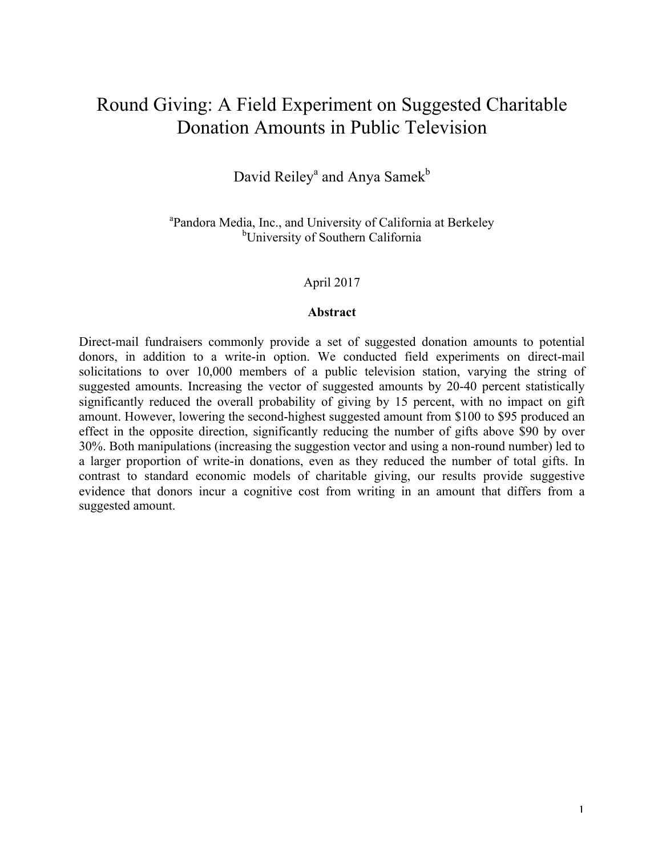# Round Giving: A Field Experiment on Suggested Charitable Donation Amounts in Public Television

# David Reiley<sup>a</sup> and Anya Samek<sup>b</sup>

<sup>a</sup>Pandora Media, Inc., and University of California at Berkeley <sup>b</sup>University of Southern California

#### April 2017

#### **Abstract**

Direct-mail fundraisers commonly provide a set of suggested donation amounts to potential donors, in addition to a write-in option. We conducted field experiments on direct-mail solicitations to over 10,000 members of a public television station, varying the string of suggested amounts. Increasing the vector of suggested amounts by 20-40 percent statistically significantly reduced the overall probability of giving by 15 percent, with no impact on gift amount. However, lowering the second-highest suggested amount from \$100 to \$95 produced an effect in the opposite direction, significantly reducing the number of gifts above \$90 by over 30%. Both manipulations (increasing the suggestion vector and using a non-round number) led to a larger proportion of write-in donations, even as they reduced the number of total gifts. In contrast to standard economic models of charitable giving, our results provide suggestive evidence that donors incur a cognitive cost from writing in an amount that differs from a suggested amount.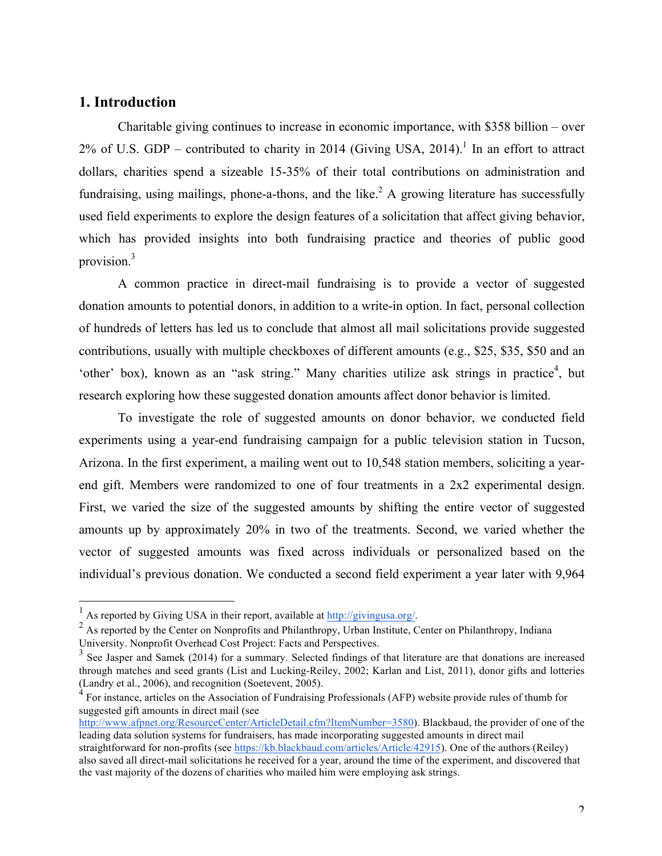## **1. Introduction**

Charitable giving continues to increase in economic importance, with \$358 billion – over  $2\%$  of U.S. GDP – contributed to charity in 2014 (Giving USA, 2014).<sup>1</sup> In an effort to attract dollars, charities spend a sizeable 15-35% of their total contributions on administration and fundraising, using mailings, phone-a-thons, and the like.<sup>2</sup> A growing literature has successfully used field experiments to explore the design features of a solicitation that affect giving behavior, which has provided insights into both fundraising practice and theories of public good provision.3

A common practice in direct-mail fundraising is to provide a vector of suggested donation amounts to potential donors, in addition to a write-in option. In fact, personal collection of hundreds of letters has led us to conclude that almost all mail solicitations provide suggested contributions, usually with multiple checkboxes of different amounts (e.g., \$25, \$35, \$50 and an 'other' box), known as an "ask string." Many charities utilize ask strings in practice<sup>4</sup>, but research exploring how these suggested donation amounts affect donor behavior is limited.

To investigate the role of suggested amounts on donor behavior, we conducted field experiments using a year-end fundraising campaign for a public television station in Tucson, Arizona. In the first experiment, a mailing went out to 10,548 station members, soliciting a yearend gift. Members were randomized to one of four treatments in a 2x2 experimental design. First, we varied the size of the suggested amounts by shifting the entire vector of suggested amounts up by approximately 20% in two of the treatments. Second, we varied whether the vector of suggested amounts was fixed across individuals or personalized based on the individual's previous donation. We conducted a second field experiment a year later with 9,964

<sup>&</sup>lt;sup>1</sup> As reported by Giving USA in their report, available at  $\frac{http://givingusa.org/}{http://givingusa.org/})$ <br><sup>2</sup> As reported by the Center on Nonprofits and Philanthropy, Urban Institute, Center on Philanthropy, Indiana University. Nonprofit Overhead Cost Project: Facts and Perspectives.

 $3$  See Jasper and Samek (2014) for a summary. Selected findings of that literature are that donations are increased through matches and seed grants (List and Lucking-Reiley, 2002; Karlan and List, 2011), donor gifts and lotteries (Landry et al., 2006), and recognition (Soetevent, 2005).

 $4$  For instance, articles on the Association of Fundraising Professionals (AFP) website provide rules of thumb for suggested gift amounts in direct mail (see

http://www.afpnet.org/ResourceCenter/ArticleDetail.cfm?ItemNumber=3580). Blackbaud, the provider of one of the leading data solution systems for fundraisers, has made incorporating suggested amounts in direct mail straightforward for non-profits (see https://kb.blackbaud.com/articles/Article/42915). One of the authors (Reiley) also saved all direct-mail solicitations he received for a year, around the time of the experiment, and discovered that the vast majority of the dozens of charities who mailed him were employing ask strings.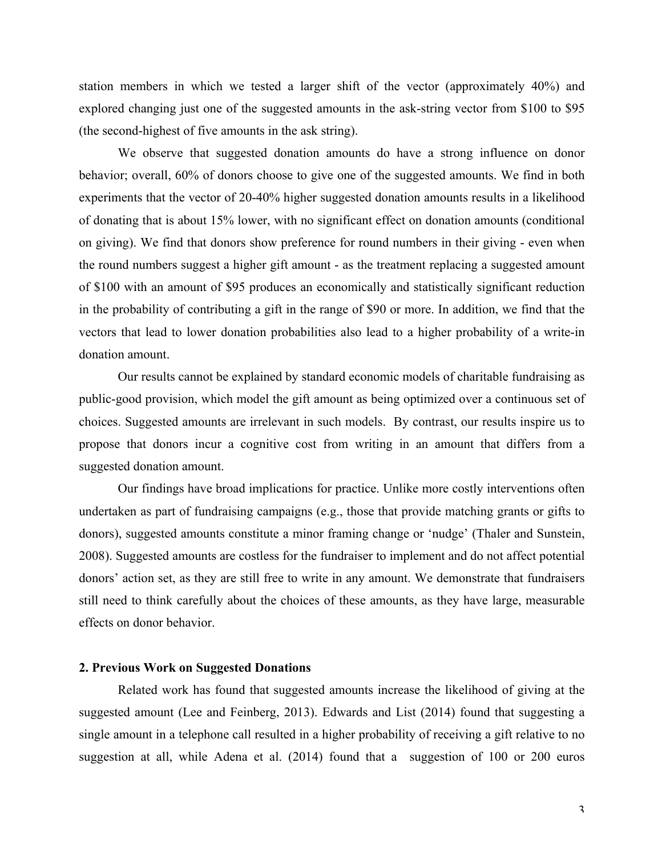station members in which we tested a larger shift of the vector (approximately 40%) and explored changing just one of the suggested amounts in the ask-string vector from \$100 to \$95 (the second-highest of five amounts in the ask string).

We observe that suggested donation amounts do have a strong influence on donor behavior; overall, 60% of donors choose to give one of the suggested amounts. We find in both experiments that the vector of 20-40% higher suggested donation amounts results in a likelihood of donating that is about 15% lower, with no significant effect on donation amounts (conditional on giving). We find that donors show preference for round numbers in their giving - even when the round numbers suggest a higher gift amount - as the treatment replacing a suggested amount of \$100 with an amount of \$95 produces an economically and statistically significant reduction in the probability of contributing a gift in the range of \$90 or more. In addition, we find that the vectors that lead to lower donation probabilities also lead to a higher probability of a write-in donation amount.

Our results cannot be explained by standard economic models of charitable fundraising as public-good provision, which model the gift amount as being optimized over a continuous set of choices. Suggested amounts are irrelevant in such models. By contrast, our results inspire us to propose that donors incur a cognitive cost from writing in an amount that differs from a suggested donation amount.

Our findings have broad implications for practice. Unlike more costly interventions often undertaken as part of fundraising campaigns (e.g., those that provide matching grants or gifts to donors), suggested amounts constitute a minor framing change or 'nudge' (Thaler and Sunstein, 2008). Suggested amounts are costless for the fundraiser to implement and do not affect potential donors' action set, as they are still free to write in any amount. We demonstrate that fundraisers still need to think carefully about the choices of these amounts, as they have large, measurable effects on donor behavior.

#### **2. Previous Work on Suggested Donations**

Related work has found that suggested amounts increase the likelihood of giving at the suggested amount (Lee and Feinberg, 2013). Edwards and List (2014) found that suggesting a single amount in a telephone call resulted in a higher probability of receiving a gift relative to no suggestion at all, while Adena et al. (2014) found that a suggestion of 100 or 200 euros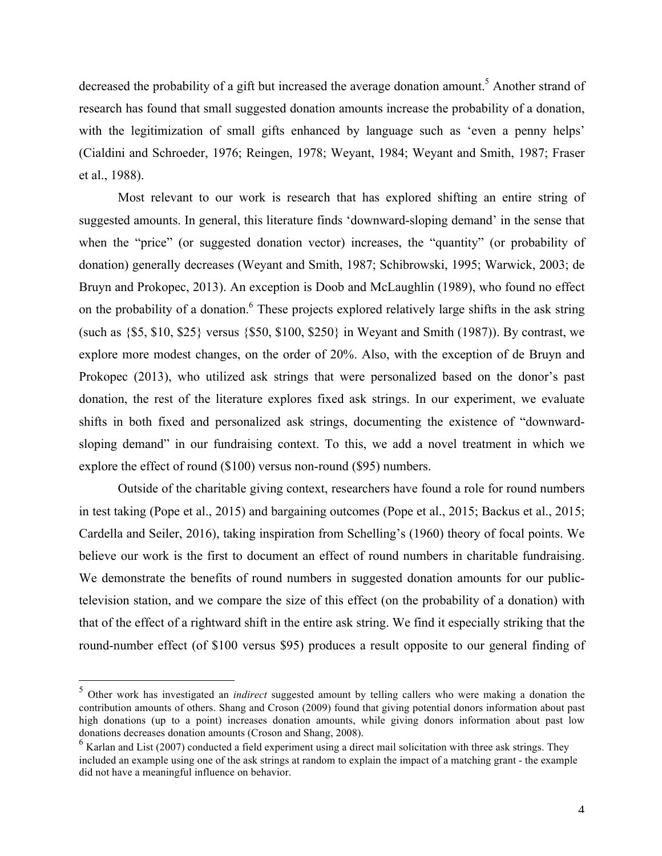decreased the probability of a gift but increased the average donation amount.<sup>5</sup> Another strand of research has found that small suggested donation amounts increase the probability of a donation, with the legitimization of small gifts enhanced by language such as 'even a penny helps' (Cialdini and Schroeder, 1976; Reingen, 1978; Weyant, 1984; Weyant and Smith, 1987; Fraser et al., 1988).

Most relevant to our work is research that has explored shifting an entire string of suggested amounts. In general, this literature finds 'downward-sloping demand' in the sense that when the "price" (or suggested donation vector) increases, the "quantity" (or probability of donation) generally decreases (Weyant and Smith, 1987; Schibrowski, 1995; Warwick, 2003; de Bruyn and Prokopec, 2013). An exception is Doob and McLaughlin (1989), who found no effect on the probability of a donation.<sup>6</sup> These projects explored relatively large shifts in the ask string (such as {\$5, \$10, \$25} versus {\$50, \$100, \$250} in Weyant and Smith (1987)). By contrast, we explore more modest changes, on the order of 20%. Also, with the exception of de Bruyn and Prokopec (2013), who utilized ask strings that were personalized based on the donor's past donation, the rest of the literature explores fixed ask strings. In our experiment, we evaluate shifts in both fixed and personalized ask strings, documenting the existence of "downwardsloping demand" in our fundraising context. To this, we add a novel treatment in which we explore the effect of round (\$100) versus non-round (\$95) numbers.

Outside of the charitable giving context, researchers have found a role for round numbers in test taking (Pope et al., 2015) and bargaining outcomes (Pope et al., 2015; Backus et al., 2015; Cardella and Seiler, 2016), taking inspiration from Schelling's (1960) theory of focal points. We believe our work is the first to document an effect of round numbers in charitable fundraising. We demonstrate the benefits of round numbers in suggested donation amounts for our publictelevision station, and we compare the size of this effect (on the probability of a donation) with that of the effect of a rightward shift in the entire ask string. We find it especially striking that the round-number effect (of \$100 versus \$95) produces a result opposite to our general finding of

 <sup>5</sup> Other work has investigated an *indirect* suggested amount by telling callers who were making a donation the contribution amounts of others. Shang and Croson (2009) found that giving potential donors information about past high donations (up to a point) increases donation amounts, while giving donors information about past low donations decreases donation amounts (Croson and Shang, 2008).

 $<sup>6</sup>$  Karlan and List (2007) conducted a field experiment using a direct mail solicitation with three ask strings. They</sup> included an example using one of the ask strings at random to explain the impact of a matching grant - the example did not have a meaningful influence on behavior.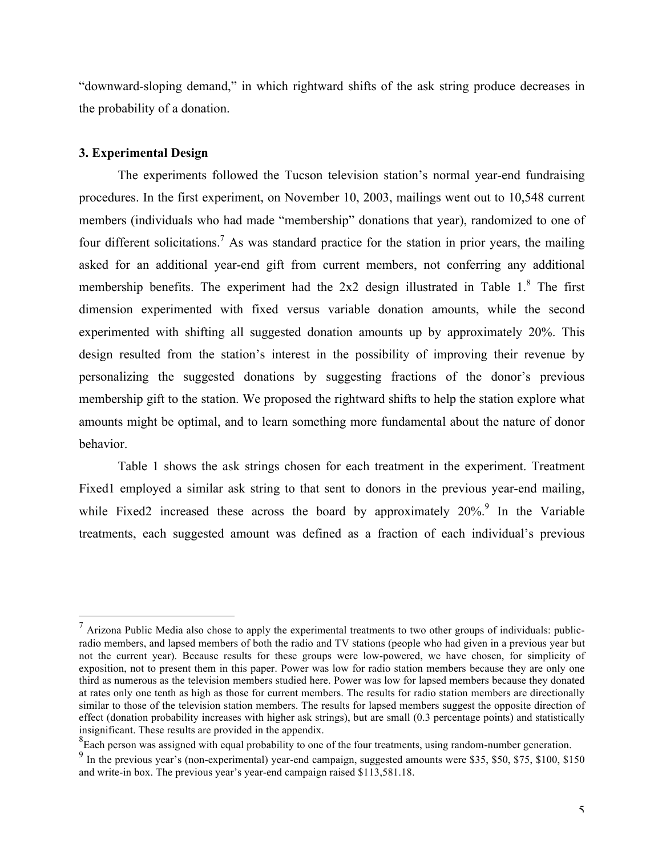"downward-sloping demand," in which rightward shifts of the ask string produce decreases in the probability of a donation.

#### **3. Experimental Design**

The experiments followed the Tucson television station's normal year-end fundraising procedures. In the first experiment, on November 10, 2003, mailings went out to 10,548 current members (individuals who had made "membership" donations that year), randomized to one of four different solicitations.<sup>7</sup> As was standard practice for the station in prior years, the mailing asked for an additional year-end gift from current members, not conferring any additional membership benefits. The experiment had the  $2x2$  design illustrated in Table 1. $8$  The first dimension experimented with fixed versus variable donation amounts, while the second experimented with shifting all suggested donation amounts up by approximately 20%. This design resulted from the station's interest in the possibility of improving their revenue by personalizing the suggested donations by suggesting fractions of the donor's previous membership gift to the station. We proposed the rightward shifts to help the station explore what amounts might be optimal, and to learn something more fundamental about the nature of donor behavior.

Table 1 shows the ask strings chosen for each treatment in the experiment. Treatment Fixed1 employed a similar ask string to that sent to donors in the previous year-end mailing, while Fixed2 increased these across the board by approximately  $20\%$ .<sup>9</sup> In the Variable treatments, each suggested amount was defined as a fraction of each individual's previous

 $<sup>7</sup>$  Arizona Public Media also chose to apply the experimental treatments to two other groups of individuals: public-</sup> radio members, and lapsed members of both the radio and TV stations (people who had given in a previous year but not the current year). Because results for these groups were low-powered, we have chosen, for simplicity of exposition, not to present them in this paper. Power was low for radio station members because they are only one third as numerous as the television members studied here. Power was low for lapsed members because they donated at rates only one tenth as high as those for current members. The results for radio station members are directionally similar to those of the television station members. The results for lapsed members suggest the opposite direction of effect (donation probability increases with higher ask strings), but are small (0.3 percentage points) and statistically insignificant. These results are provided in the appendix.

<sup>&</sup>lt;sup>8</sup> Each person was assigned with equal probability to one of the four treatments, using random-number generation.

<sup>&</sup>lt;sup>9</sup> In the previous year's (non-experimental) year-end campaign, suggested amounts were \$35, \$50, \$75, \$100, \$150 and write-in box. The previous year's year-end campaign raised \$113,581.18.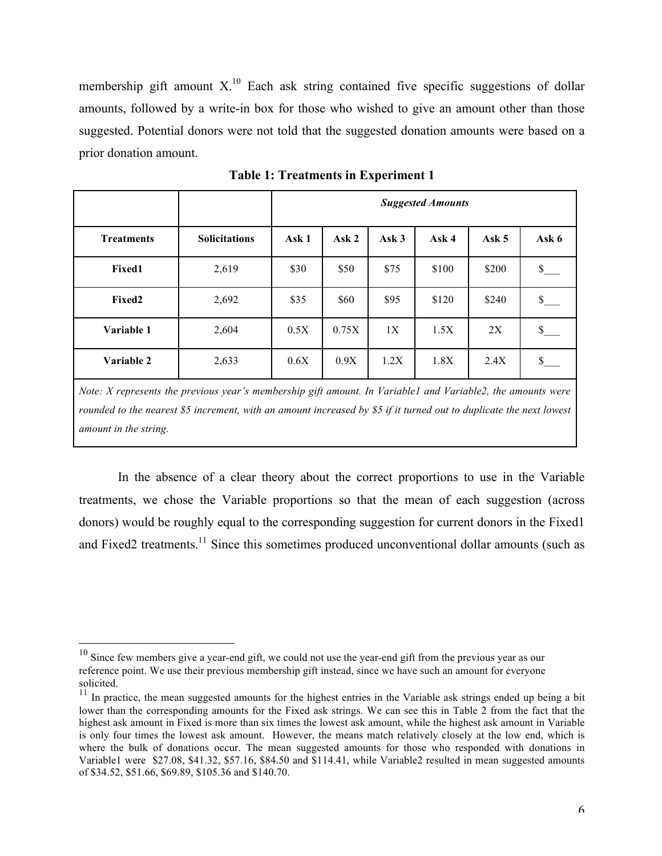membership gift amount  $X<sup>10</sup>$  Each ask string contained five specific suggestions of dollar amounts, followed by a write-in box for those who wished to give an amount other than those suggested. Potential donors were not told that the suggested donation amounts were based on a prior donation amount.

|                   |                      | <b>Suggested Amounts</b> |       |       |       |         |              |
|-------------------|----------------------|--------------------------|-------|-------|-------|---------|--------------|
| <b>Treatments</b> | <b>Solicitations</b> | Ask 1                    | Ask 2 | Ask 3 | Ask 4 | Ask $5$ | Ask 6        |
| Fixed1            | 2,619                | \$30                     | \$50  | \$75  | \$100 | \$200   | \$           |
| Fixed2            | 2,692                | \$35                     | \$60  | \$95  | \$120 | \$240   | $\mathbb{S}$ |
| Variable 1        | 2,604                | 0.5X                     | 0.75X | 1X    | 1.5X  | 2X      | $\mathbb{S}$ |
| Variable 2        | 2,633                | 0.6X                     | 0.9X  | 1.2X  | 1.8X  | 2.4X    | $\mathbb{S}$ |

**Table 1: Treatments in Experiment 1**

*Note: X represents the previous year's membership gift amount. In Variable1 and Variable2, the amounts were*  rounded to the nearest \$5 increment, with an amount increased by \$5 if it turned out to duplicate the next lowest *amount in the string.*

In the absence of a clear theory about the correct proportions to use in the Variable treatments, we chose the Variable proportions so that the mean of each suggestion (across donors) would be roughly equal to the corresponding suggestion for current donors in the Fixed1 and Fixed2 treatments.<sup>11</sup> Since this sometimes produced unconventional dollar amounts (such as

 $10$  Since few members give a year-end gift, we could not use the year-end gift from the previous year as our reference point. We use their previous membership gift instead, since we have such an amount for everyone solicited.

 $11$  In practice, the mean suggested amounts for the highest entries in the Variable ask strings ended up being a bit lower than the corresponding amounts for the Fixed ask strings. We can see this in Table 2 from the fact that the highest ask amount in Fixed is more than six times the lowest ask amount, while the highest ask amount in Variable is only four times the lowest ask amount. However, the means match relatively closely at the low end, which is where the bulk of donations occur. The mean suggested amounts for those who responded with donations in Variable1 were \$27.08, \$41.32, \$57.16, \$84.50 and \$114.41, while Variable2 resulted in mean suggested amounts of \$34.52, \$51.66, \$69.89, \$105.36 and \$140.70.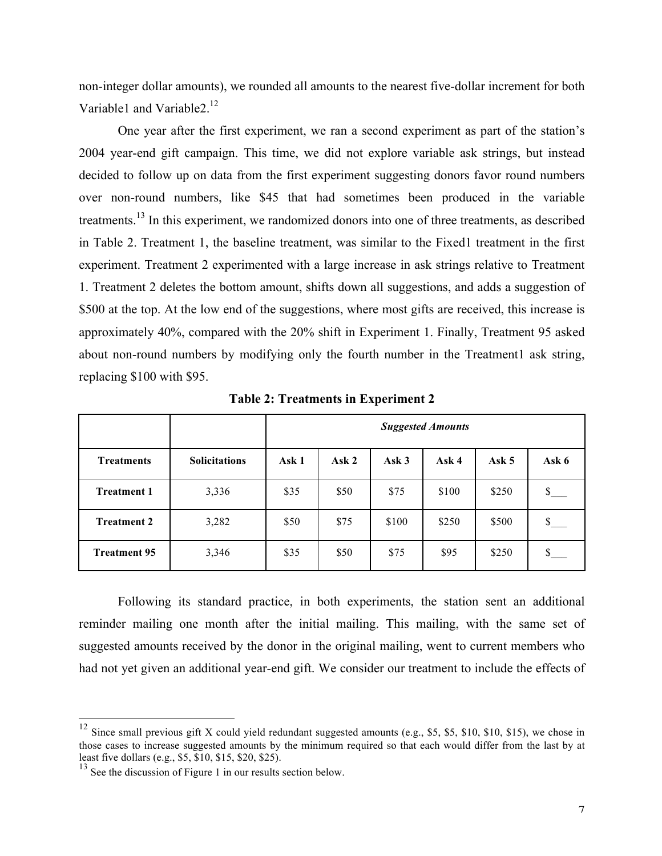non-integer dollar amounts), we rounded all amounts to the nearest five-dollar increment for both Variable1 and Variable2.<sup>12</sup>

One year after the first experiment, we ran a second experiment as part of the station's 2004 year-end gift campaign. This time, we did not explore variable ask strings, but instead decided to follow up on data from the first experiment suggesting donors favor round numbers over non-round numbers, like \$45 that had sometimes been produced in the variable treatments.<sup>13</sup> In this experiment, we randomized donors into one of three treatments, as described in Table 2. Treatment 1, the baseline treatment, was similar to the Fixed1 treatment in the first experiment. Treatment 2 experimented with a large increase in ask strings relative to Treatment 1. Treatment 2 deletes the bottom amount, shifts down all suggestions, and adds a suggestion of \$500 at the top. At the low end of the suggestions, where most gifts are received, this increase is approximately 40%, compared with the 20% shift in Experiment 1. Finally, Treatment 95 asked about non-round numbers by modifying only the fourth number in the Treatment1 ask string, replacing \$100 with \$95.

|                     |                      | <b>Suggested Amounts</b> |       |       |       |         |              |
|---------------------|----------------------|--------------------------|-------|-------|-------|---------|--------------|
| <b>Treatments</b>   | <b>Solicitations</b> | Ask 1                    | Ask 2 | Ask3  | Ask 4 | Ask $5$ | Ask 6        |
| <b>Treatment 1</b>  | 3,336                | \$35                     | \$50  | \$75  | \$100 | \$250   | $\mathbb{S}$ |
| <b>Treatment 2</b>  | 3,282                | \$50                     | \$75  | \$100 | \$250 | \$500   | $\mathbb{S}$ |
| <b>Treatment 95</b> | 3,346                | \$35                     | \$50  | \$75  | \$95  | \$250   | \$           |

**Table 2: Treatments in Experiment 2**

Following its standard practice, in both experiments, the station sent an additional reminder mailing one month after the initial mailing. This mailing, with the same set of suggested amounts received by the donor in the original mailing, went to current members who had not yet given an additional year-end gift. We consider our treatment to include the effects of

 $12$  Since small previous gift X could yield redundant suggested amounts (e.g., \$5, \$5, \$10, \$10, \$15), we chose in those cases to increase suggested amounts by the minimum required so that each would differ from the last by at least five dollars (e.g., \$5, \$10, \$15, \$20, \$25).

<sup>&</sup>lt;sup>13</sup> See the discussion of Figure 1 in our results section below.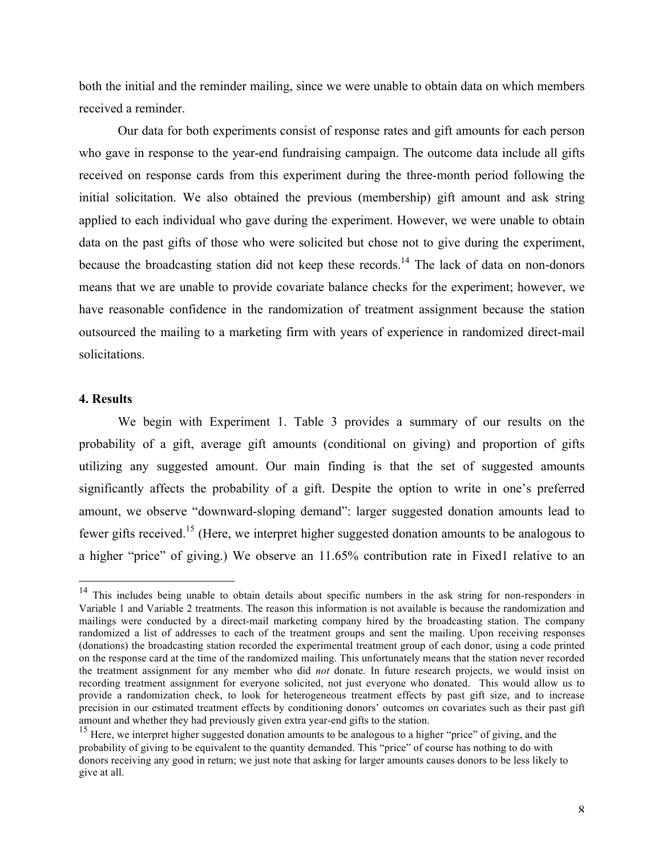both the initial and the reminder mailing, since we were unable to obtain data on which members received a reminder.

Our data for both experiments consist of response rates and gift amounts for each person who gave in response to the year-end fundraising campaign. The outcome data include all gifts received on response cards from this experiment during the three-month period following the initial solicitation. We also obtained the previous (membership) gift amount and ask string applied to each individual who gave during the experiment. However, we were unable to obtain data on the past gifts of those who were solicited but chose not to give during the experiment, because the broadcasting station did not keep these records.<sup>14</sup> The lack of data on non-donors means that we are unable to provide covariate balance checks for the experiment; however, we have reasonable confidence in the randomization of treatment assignment because the station outsourced the mailing to a marketing firm with years of experience in randomized direct-mail solicitations.

#### **4. Results**

We begin with Experiment 1. Table 3 provides a summary of our results on the probability of a gift, average gift amounts (conditional on giving) and proportion of gifts utilizing any suggested amount. Our main finding is that the set of suggested amounts significantly affects the probability of a gift. Despite the option to write in one's preferred amount, we observe "downward-sloping demand": larger suggested donation amounts lead to fewer gifts received.15 (Here, we interpret higher suggested donation amounts to be analogous to a higher "price" of giving.) We observe an 11.65% contribution rate in Fixed1 relative to an

<sup>&</sup>lt;sup>14</sup> This includes being unable to obtain details about specific numbers in the ask string for non-responders in Variable 1 and Variable 2 treatments. The reason this information is not available is because the randomization and mailings were conducted by a direct-mail marketing company hired by the broadcasting station. The company randomized a list of addresses to each of the treatment groups and sent the mailing. Upon receiving responses (donations) the broadcasting station recorded the experimental treatment group of each donor, using a code printed on the response card at the time of the randomized mailing. This unfortunately means that the station never recorded the treatment assignment for any member who did *not* donate. In future research projects, we would insist on recording treatment assignment for everyone solicited, not just everyone who donated. This would allow us to provide a randomization check, to look for heterogeneous treatment effects by past gift size, and to increase precision in our estimated treatment effects by conditioning donors' outcomes on covariates such as their past gift amount and whether they had previously given extra year-end gifts to the station.

<sup>&</sup>lt;sup>15</sup> Here, we interpret higher suggested donation amounts to be analogous to a higher "price" of giving, and the probability of giving to be equivalent to the quantity demanded. This "price" of course has nothing to do with donors receiving any good in return; we just note that asking for larger amounts causes donors to be less likely to give at all.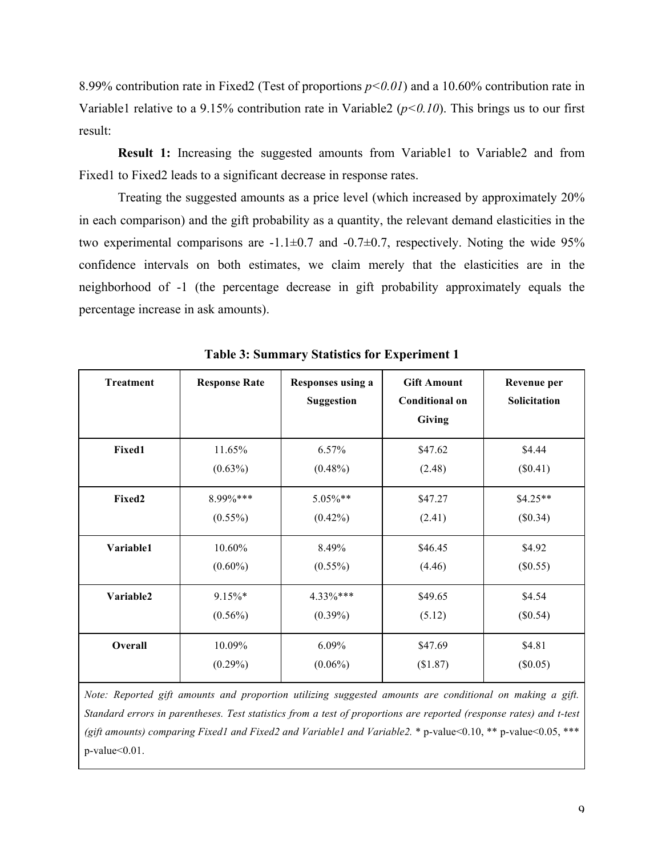8.99% contribution rate in Fixed2 (Test of proportions *p<0.01*) and a 10.60% contribution rate in Variable1 relative to a 9.15% contribution rate in Variable2 (*p<0.10*). This brings us to our first result:

**Result 1:** Increasing the suggested amounts from Variable1 to Variable2 and from Fixed1 to Fixed2 leads to a significant decrease in response rates.

Treating the suggested amounts as a price level (which increased by approximately 20% in each comparison) and the gift probability as a quantity, the relevant demand elasticities in the two experimental comparisons are  $-1.1\pm0.7$  and  $-0.7\pm0.7$ , respectively. Noting the wide 95% confidence intervals on both estimates, we claim merely that the elasticities are in the neighborhood of -1 (the percentage decrease in gift probability approximately equals the percentage increase in ask amounts).

| <b>Treatment</b> | <b>Response Rate</b> | Responses using a<br><b>Suggestion</b> | <b>Gift Amount</b><br><b>Conditional on</b><br>Giving | Revenue per<br>Solicitation |
|------------------|----------------------|----------------------------------------|-------------------------------------------------------|-----------------------------|
| Fixed1           | 11.65%               | 6.57%                                  | \$47.62                                               | \$4.44                      |
|                  | $(0.63\%)$           | $(0.48\%)$                             | (2.48)                                                | $(\$0.41)$                  |
| Fixed2           | 8.99%***             | $5.05\%**$                             | \$47.27                                               | $$4.25**$$                  |
|                  | $(0.55\%)$           | $(0.42\%)$                             | (2.41)                                                | (\$0.34)                    |
| Variable1        | 10.60%               | 8.49%                                  | \$46.45                                               | \$4.92                      |
|                  | $(0.60\%)$           | $(0.55\%)$                             | (4.46)                                                | $(\$0.55)$                  |
| Variable2        | 9.15%*               | $4.33\%***$                            | \$49.65                                               | \$4.54                      |
|                  | $(0.56\%)$           | $(0.39\%)$                             | (5.12)                                                | (\$0.54)                    |
| Overall          | 10.09%               | $6.09\%$                               | \$47.69                                               | \$4.81                      |
|                  | $(0.29\%)$           | $(0.06\%)$                             | (\$1.87)                                              | $(\$0.05)$                  |

**Table 3: Summary Statistics for Experiment 1**

*Note: Reported gift amounts and proportion utilizing suggested amounts are conditional on making a gift. Standard errors in parentheses. Test statistics from a test of proportions are reported (response rates) and t-test (gift amounts) comparing Fixed1 and Fixed2 and Variable1 and Variable2.* \* p-value<0.10, \*\* p-value<0.05, \*\*\* p-value<0.01.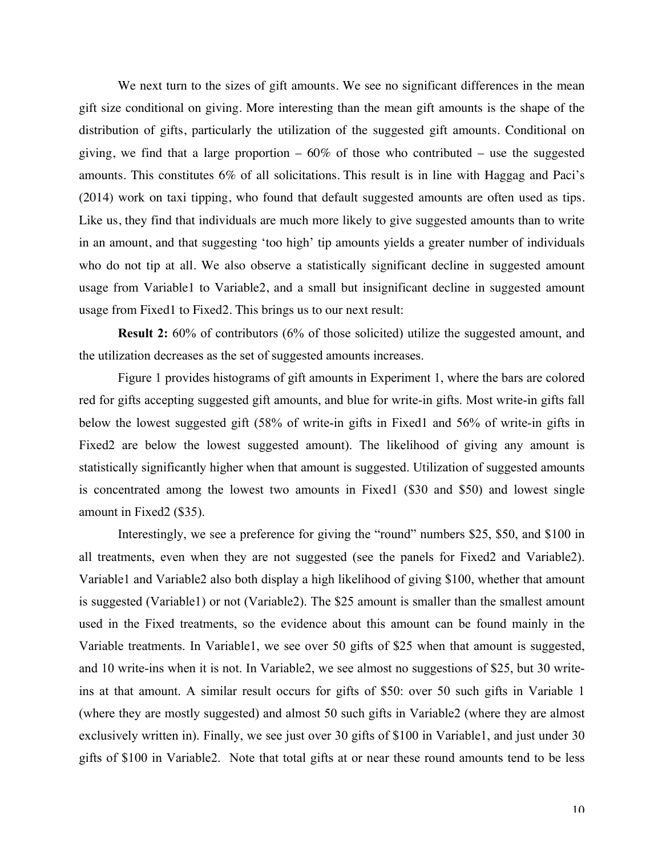We next turn to the sizes of gift amounts. We see no significant differences in the mean gift size conditional on giving. More interesting than the mean gift amounts is the shape of the distribution of gifts, particularly the utilization of the suggested gift amounts. Conditional on giving, we find that a large proportion  $-60\%$  of those who contributed – use the suggested amounts. This constitutes 6% of all solicitations. This result is in line with Haggag and Paci's (2014) work on taxi tipping, who found that default suggested amounts are often used as tips. Like us, they find that individuals are much more likely to give suggested amounts than to write in an amount, and that suggesting 'too high' tip amounts yields a greater number of individuals who do not tip at all. We also observe a statistically significant decline in suggested amount usage from Variable1 to Variable2, and a small but insignificant decline in suggested amount usage from Fixed1 to Fixed2. This brings us to our next result:

**Result 2:** 60% of contributors (6% of those solicited) utilize the suggested amount, and the utilization decreases as the set of suggested amounts increases.

Figure 1 provides histograms of gift amounts in Experiment 1, where the bars are colored red for gifts accepting suggested gift amounts, and blue for write-in gifts. Most write-in gifts fall below the lowest suggested gift (58% of write-in gifts in Fixed1 and 56% of write-in gifts in Fixed2 are below the lowest suggested amount). The likelihood of giving any amount is statistically significantly higher when that amount is suggested. Utilization of suggested amounts is concentrated among the lowest two amounts in Fixed1 (\$30 and \$50) and lowest single amount in Fixed2 (\$35).

Interestingly, we see a preference for giving the "round" numbers \$25, \$50, and \$100 in all treatments, even when they are not suggested (see the panels for Fixed2 and Variable2). Variable1 and Variable2 also both display a high likelihood of giving \$100, whether that amount is suggested (Variable1) or not (Variable2). The \$25 amount is smaller than the smallest amount used in the Fixed treatments, so the evidence about this amount can be found mainly in the Variable treatments. In Variable1, we see over 50 gifts of \$25 when that amount is suggested, and 10 write-ins when it is not. In Variable2, we see almost no suggestions of \$25, but 30 writeins at that amount. A similar result occurs for gifts of \$50: over 50 such gifts in Variable 1 (where they are mostly suggested) and almost 50 such gifts in Variable2 (where they are almost exclusively written in). Finally, we see just over 30 gifts of \$100 in Variable1, and just under 30 gifts of \$100 in Variable2. Note that total gifts at or near these round amounts tend to be less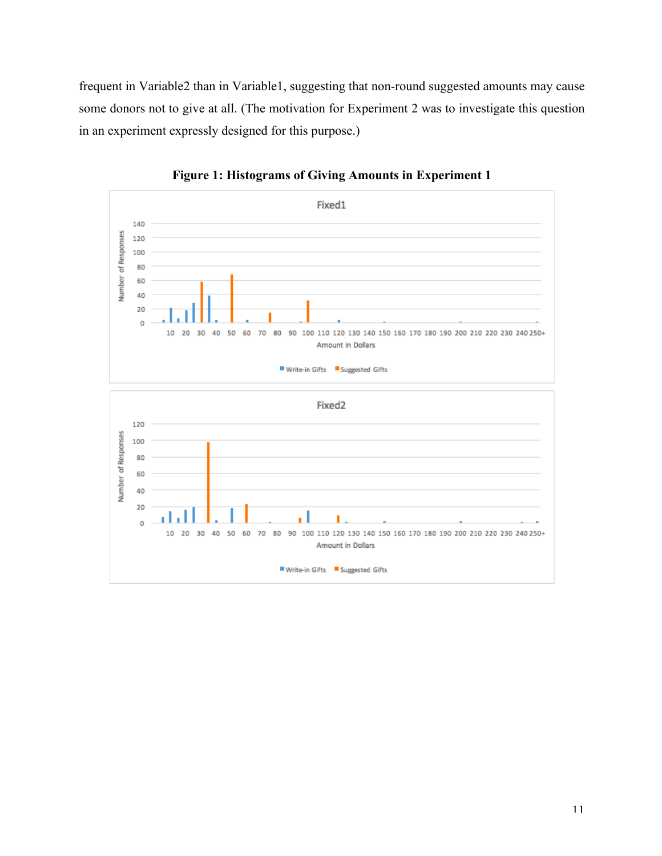frequent in Variable2 than in Variable1, suggesting that non-round suggested amounts may cause some donors not to give at all. (The motivation for Experiment 2 was to investigate this question in an experiment expressly designed for this purpose.)



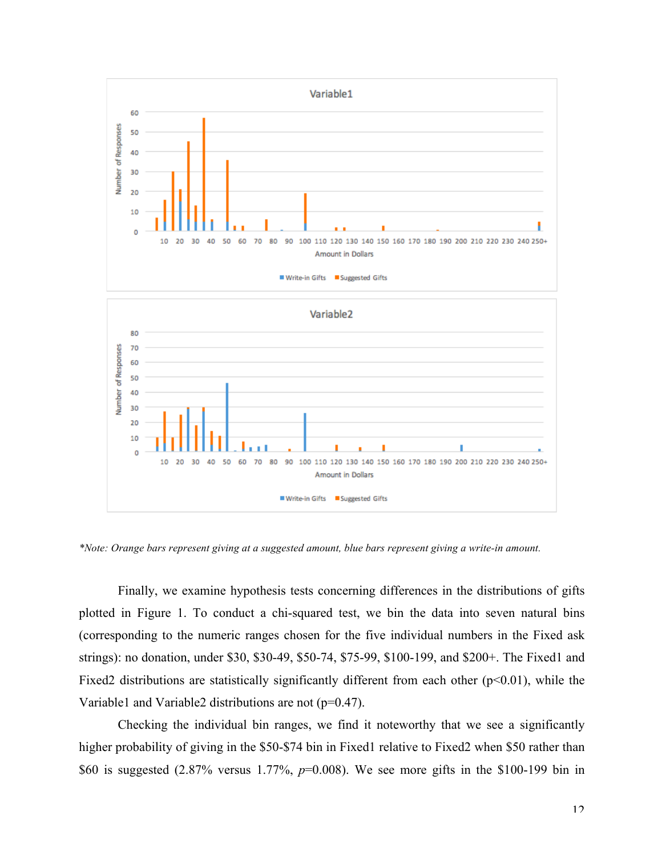

*\*Note: Orange bars represent giving at a suggested amount, blue bars represent giving a write-in amount.*

Finally, we examine hypothesis tests concerning differences in the distributions of gifts plotted in Figure 1. To conduct a chi-squared test, we bin the data into seven natural bins (corresponding to the numeric ranges chosen for the five individual numbers in the Fixed ask strings): no donation, under \$30, \$30-49, \$50-74, \$75-99, \$100-199, and \$200+. The Fixed1 and Fixed2 distributions are statistically significantly different from each other  $(p<0.01)$ , while the Variable1 and Variable2 distributions are not (p=0.47).

Checking the individual bin ranges, we find it noteworthy that we see a significantly higher probability of giving in the \$50-\$74 bin in Fixed1 relative to Fixed2 when \$50 rather than \$60 is suggested (2.87% versus 1.77%, *p*=0.008). We see more gifts in the \$100-199 bin in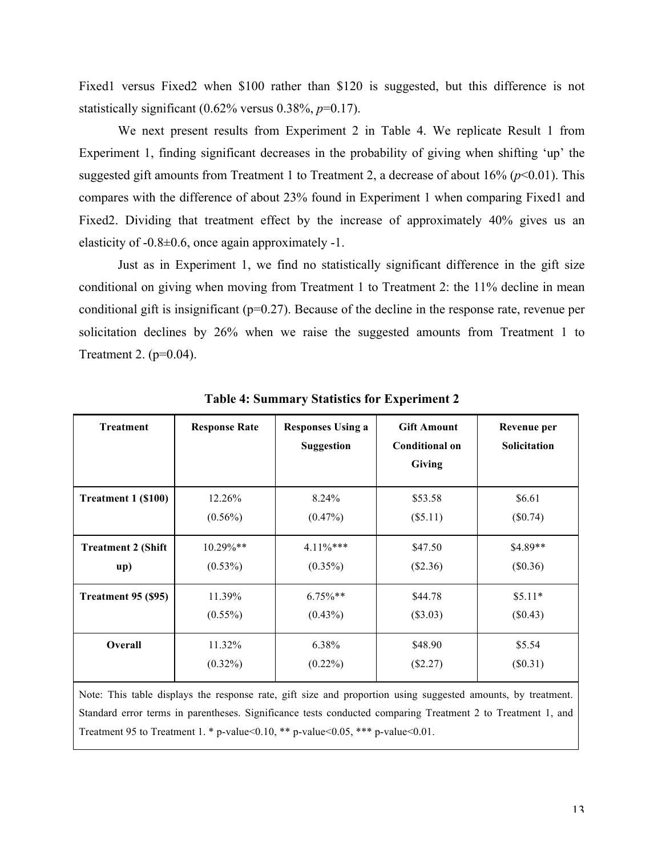Fixed1 versus Fixed2 when \$100 rather than \$120 is suggested, but this difference is not statistically significant  $(0.62\%$  versus  $0.38\%$ ,  $p=0.17$ ).

We next present results from Experiment 2 in Table 4. We replicate Result 1 from Experiment 1, finding significant decreases in the probability of giving when shifting 'up' the suggested gift amounts from Treatment 1 to Treatment 2, a decrease of about  $16\%$  ( $p<0.01$ ). This compares with the difference of about 23% found in Experiment 1 when comparing Fixed1 and Fixed2. Dividing that treatment effect by the increase of approximately 40% gives us an elasticity of  $-0.8\pm0.6$ , once again approximately  $-1$ .

Just as in Experiment 1, we find no statistically significant difference in the gift size conditional on giving when moving from Treatment 1 to Treatment 2: the 11% decline in mean conditional gift is insignificant ( $p=0.27$ ). Because of the decline in the response rate, revenue per solicitation declines by 26% when we raise the suggested amounts from Treatment 1 to Treatment 2. (p=0.04).

| <b>Treatment</b>          | <b>Response Rate</b> | <b>Responses Using a</b><br><b>Suggestion</b> | <b>Gift Amount</b><br><b>Conditional on</b><br>Giving | Revenue per<br><b>Solicitation</b> |
|---------------------------|----------------------|-----------------------------------------------|-------------------------------------------------------|------------------------------------|
| Treatment 1 (\$100)       | 12.26%               | 8.24%                                         | \$53.58                                               | \$6.61                             |
|                           | $(0.56\%)$           | $(0.47\%)$                                    | (\$5.11)                                              | (\$0.74)                           |
| <b>Treatment 2 (Shift</b> | $10.29\%$ **         | $4.11\%***$                                   | \$47.50                                               | $$4.89**$                          |
| up)                       | $(0.53\%)$           | $(0.35\%)$                                    | $(\$2.36)$                                            | (\$0.36)                           |
| Treatment 95 (\$95)       | 11.39%               | $6.75\%$ **                                   | \$44.78                                               | $$5.11*$                           |
|                           | $(0.55\%)$           | $(0.43\%)$                                    | $(\$3.03)$                                            | $(\$0.43)$                         |
| <b>Overall</b>            | 11.32%               | 6.38%                                         | \$48.90                                               | \$5.54                             |
|                           | $(0.32\%)$           | $(0.22\%)$                                    | (\$2.27)                                              | $(\$0.31)$                         |

**Table 4: Summary Statistics for Experiment 2**

Note: This table displays the response rate, gift size and proportion using suggested amounts, by treatment. Standard error terms in parentheses. Significance tests conducted comparing Treatment 2 to Treatment 1, and Treatment 95 to Treatment 1. \* p-value<0.10, \*\* p-value<0.05, \*\*\* p-value<0.01.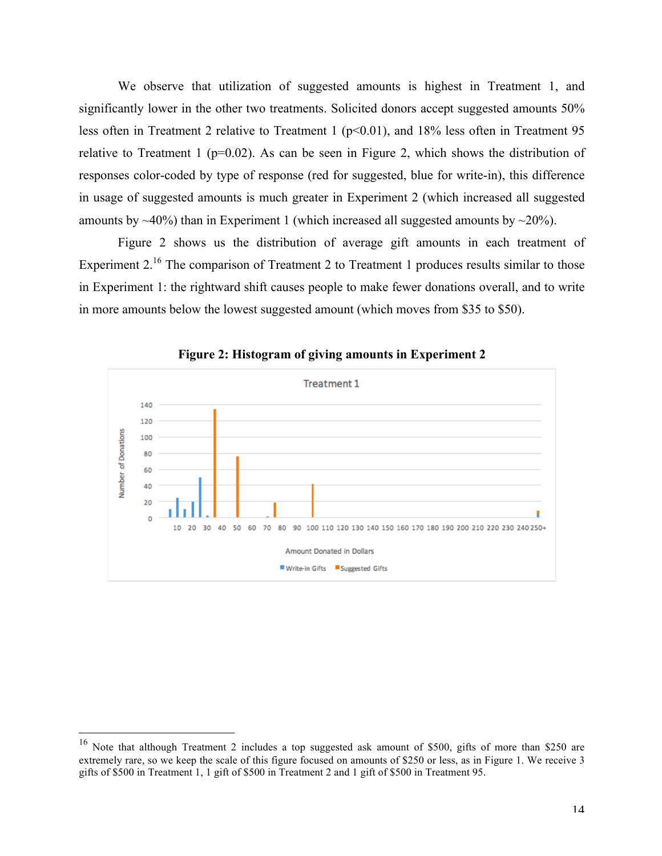We observe that utilization of suggested amounts is highest in Treatment 1, and significantly lower in the other two treatments. Solicited donors accept suggested amounts 50% less often in Treatment 2 relative to Treatment 1 ( $p<0.01$ ), and 18% less often in Treatment 95 relative to Treatment 1 ( $p=0.02$ ). As can be seen in Figure 2, which shows the distribution of responses color-coded by type of response (red for suggested, blue for write-in), this difference in usage of suggested amounts is much greater in Experiment 2 (which increased all suggested amounts by  $\sim$ 40%) than in Experiment 1 (which increased all suggested amounts by  $\sim$ 20%).

Figure 2 shows us the distribution of average gift amounts in each treatment of Experiment  $2^{16}$ . The comparison of Treatment 2 to Treatment 1 produces results similar to those in Experiment 1: the rightward shift causes people to make fewer donations overall, and to write in more amounts below the lowest suggested amount (which moves from \$35 to \$50).



**Figure 2: Histogram of giving amounts in Experiment 2**

 <sup>16</sup> Note that although Treatment 2 includes a top suggested ask amount of \$500, gifts of more than \$250 are extremely rare, so we keep the scale of this figure focused on amounts of \$250 or less, as in Figure 1. We receive 3 gifts of \$500 in Treatment 1, 1 gift of \$500 in Treatment 2 and 1 gift of \$500 in Treatment 95.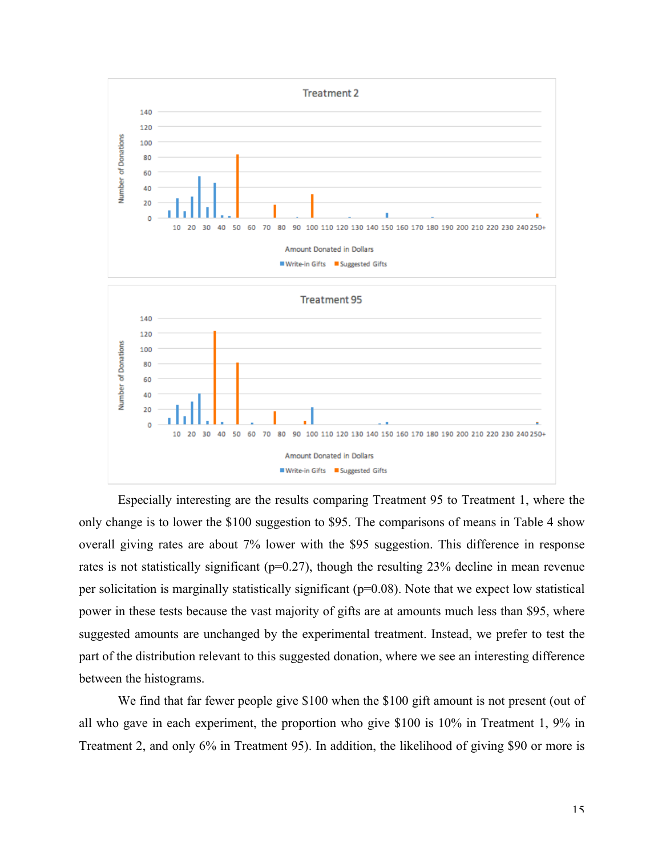

Especially interesting are the results comparing Treatment 95 to Treatment 1, where the only change is to lower the \$100 suggestion to \$95. The comparisons of means in Table 4 show overall giving rates are about 7% lower with the \$95 suggestion. This difference in response rates is not statistically significant ( $p=0.27$ ), though the resulting 23% decline in mean revenue per solicitation is marginally statistically significant (p=0.08). Note that we expect low statistical power in these tests because the vast majority of gifts are at amounts much less than \$95, where suggested amounts are unchanged by the experimental treatment. Instead, we prefer to test the part of the distribution relevant to this suggested donation, where we see an interesting difference between the histograms.

We find that far fewer people give \$100 when the \$100 gift amount is not present (out of all who gave in each experiment, the proportion who give \$100 is 10% in Treatment 1, 9% in Treatment 2, and only 6% in Treatment 95). In addition, the likelihood of giving \$90 or more is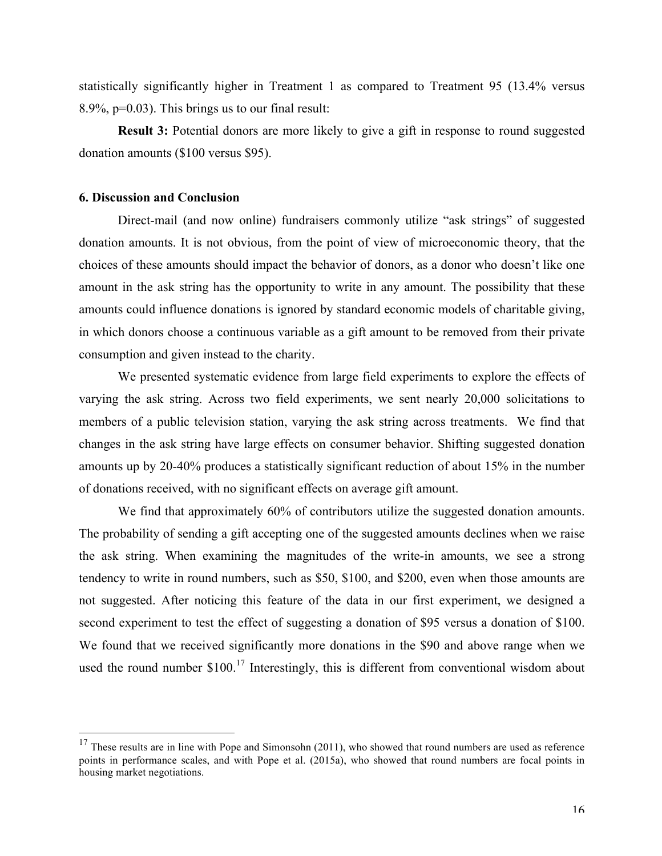statistically significantly higher in Treatment 1 as compared to Treatment 95 (13.4% versus 8.9%,  $p=0.03$ ). This brings us to our final result:

**Result 3:** Potential donors are more likely to give a gift in response to round suggested donation amounts (\$100 versus \$95).

#### **6. Discussion and Conclusion**

Direct-mail (and now online) fundraisers commonly utilize "ask strings" of suggested donation amounts. It is not obvious, from the point of view of microeconomic theory, that the choices of these amounts should impact the behavior of donors, as a donor who doesn't like one amount in the ask string has the opportunity to write in any amount. The possibility that these amounts could influence donations is ignored by standard economic models of charitable giving, in which donors choose a continuous variable as a gift amount to be removed from their private consumption and given instead to the charity.

We presented systematic evidence from large field experiments to explore the effects of varying the ask string. Across two field experiments, we sent nearly 20,000 solicitations to members of a public television station, varying the ask string across treatments. We find that changes in the ask string have large effects on consumer behavior. Shifting suggested donation amounts up by 20-40% produces a statistically significant reduction of about 15% in the number of donations received, with no significant effects on average gift amount.

We find that approximately 60% of contributors utilize the suggested donation amounts. The probability of sending a gift accepting one of the suggested amounts declines when we raise the ask string. When examining the magnitudes of the write-in amounts, we see a strong tendency to write in round numbers, such as \$50, \$100, and \$200, even when those amounts are not suggested. After noticing this feature of the data in our first experiment, we designed a second experiment to test the effect of suggesting a donation of \$95 versus a donation of \$100. We found that we received significantly more donations in the \$90 and above range when we used the round number  $$100<sup>17</sup>$  Interestingly, this is different from conventional wisdom about

 $17$  These results are in line with Pope and Simonsohn (2011), who showed that round numbers are used as reference points in performance scales, and with Pope et al. (2015a), who showed that round numbers are focal points in housing market negotiations.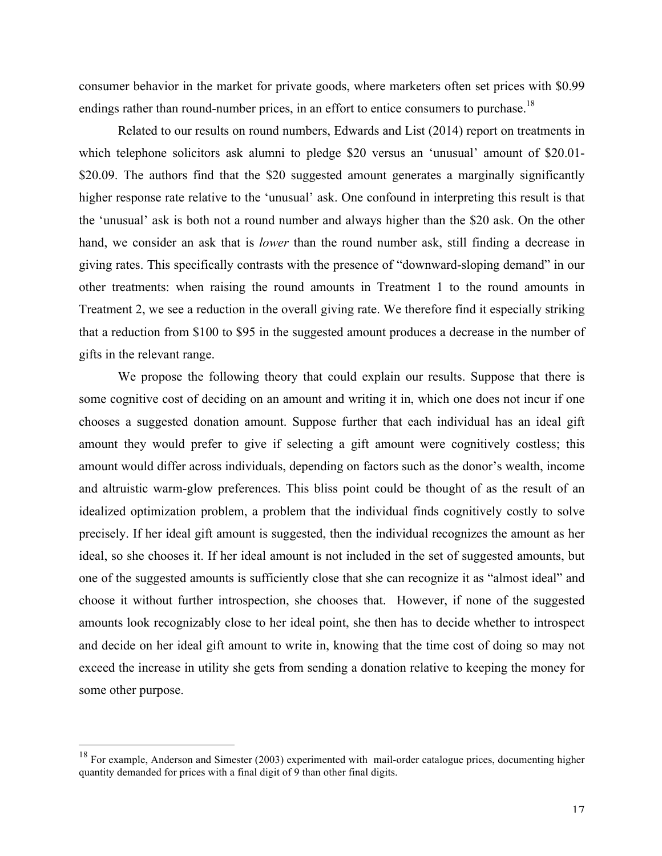consumer behavior in the market for private goods, where marketers often set prices with \$0.99 endings rather than round-number prices, in an effort to entice consumers to purchase.<sup>18</sup>

Related to our results on round numbers, Edwards and List (2014) report on treatments in which telephone solicitors ask alumni to pledge \$20 versus an 'unusual' amount of \$20.01-\$20.09. The authors find that the \$20 suggested amount generates a marginally significantly higher response rate relative to the 'unusual' ask. One confound in interpreting this result is that the 'unusual' ask is both not a round number and always higher than the \$20 ask. On the other hand, we consider an ask that is *lower* than the round number ask, still finding a decrease in giving rates. This specifically contrasts with the presence of "downward-sloping demand" in our other treatments: when raising the round amounts in Treatment 1 to the round amounts in Treatment 2, we see a reduction in the overall giving rate. We therefore find it especially striking that a reduction from \$100 to \$95 in the suggested amount produces a decrease in the number of gifts in the relevant range.

We propose the following theory that could explain our results. Suppose that there is some cognitive cost of deciding on an amount and writing it in, which one does not incur if one chooses a suggested donation amount. Suppose further that each individual has an ideal gift amount they would prefer to give if selecting a gift amount were cognitively costless; this amount would differ across individuals, depending on factors such as the donor's wealth, income and altruistic warm-glow preferences. This bliss point could be thought of as the result of an idealized optimization problem, a problem that the individual finds cognitively costly to solve precisely. If her ideal gift amount is suggested, then the individual recognizes the amount as her ideal, so she chooses it. If her ideal amount is not included in the set of suggested amounts, but one of the suggested amounts is sufficiently close that she can recognize it as "almost ideal" and choose it without further introspection, she chooses that. However, if none of the suggested amounts look recognizably close to her ideal point, she then has to decide whether to introspect and decide on her ideal gift amount to write in, knowing that the time cost of doing so may not exceed the increase in utility she gets from sending a donation relative to keeping the money for some other purpose.

<sup>&</sup>lt;sup>18</sup> For example, Anderson and Simester (2003) experimented with mail-order catalogue prices, documenting higher quantity demanded for prices with a final digit of 9 than other final digits.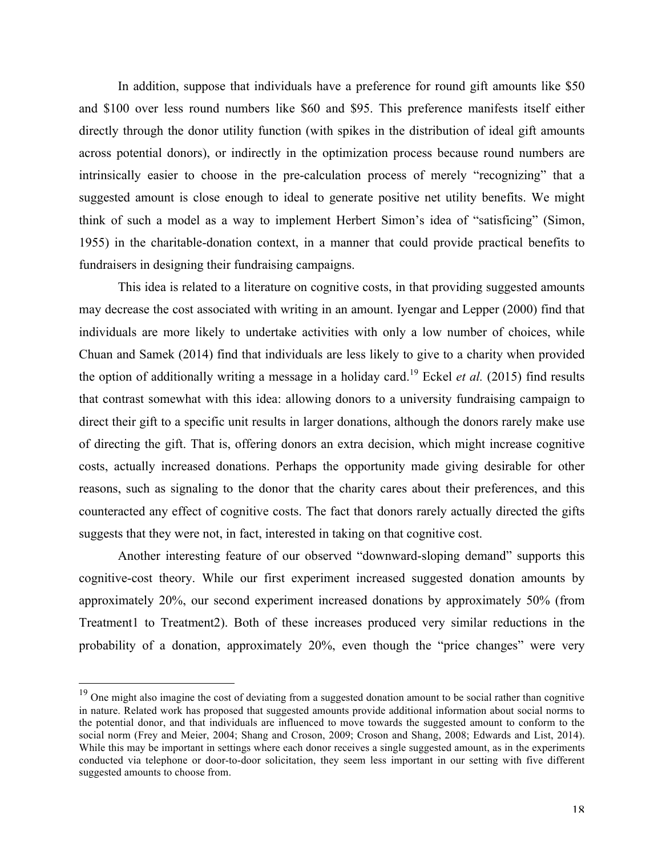In addition, suppose that individuals have a preference for round gift amounts like \$50 and \$100 over less round numbers like \$60 and \$95. This preference manifests itself either directly through the donor utility function (with spikes in the distribution of ideal gift amounts across potential donors), or indirectly in the optimization process because round numbers are intrinsically easier to choose in the pre-calculation process of merely "recognizing" that a suggested amount is close enough to ideal to generate positive net utility benefits. We might think of such a model as a way to implement Herbert Simon's idea of "satisficing" (Simon, 1955) in the charitable-donation context, in a manner that could provide practical benefits to fundraisers in designing their fundraising campaigns.

This idea is related to a literature on cognitive costs, in that providing suggested amounts may decrease the cost associated with writing in an amount. Iyengar and Lepper (2000) find that individuals are more likely to undertake activities with only a low number of choices, while Chuan and Samek (2014) find that individuals are less likely to give to a charity when provided the option of additionally writing a message in a holiday card. <sup>19</sup> Eckel *et al.* (2015) find results that contrast somewhat with this idea: allowing donors to a university fundraising campaign to direct their gift to a specific unit results in larger donations, although the donors rarely make use of directing the gift. That is, offering donors an extra decision, which might increase cognitive costs, actually increased donations. Perhaps the opportunity made giving desirable for other reasons, such as signaling to the donor that the charity cares about their preferences, and this counteracted any effect of cognitive costs. The fact that donors rarely actually directed the gifts suggests that they were not, in fact, interested in taking on that cognitive cost.

Another interesting feature of our observed "downward-sloping demand" supports this cognitive-cost theory. While our first experiment increased suggested donation amounts by approximately 20%, our second experiment increased donations by approximately 50% (from Treatment1 to Treatment2). Both of these increases produced very similar reductions in the probability of a donation, approximately 20%, even though the "price changes" were very

<sup>&</sup>lt;sup>19</sup> One might also imagine the cost of deviating from a suggested donation amount to be social rather than cognitive in nature. Related work has proposed that suggested amounts provide additional information about social norms to the potential donor, and that individuals are influenced to move towards the suggested amount to conform to the social norm (Frey and Meier, 2004; Shang and Croson, 2009; Croson and Shang, 2008; Edwards and List, 2014). While this may be important in settings where each donor receives a single suggested amount, as in the experiments conducted via telephone or door-to-door solicitation, they seem less important in our setting with five different suggested amounts to choose from.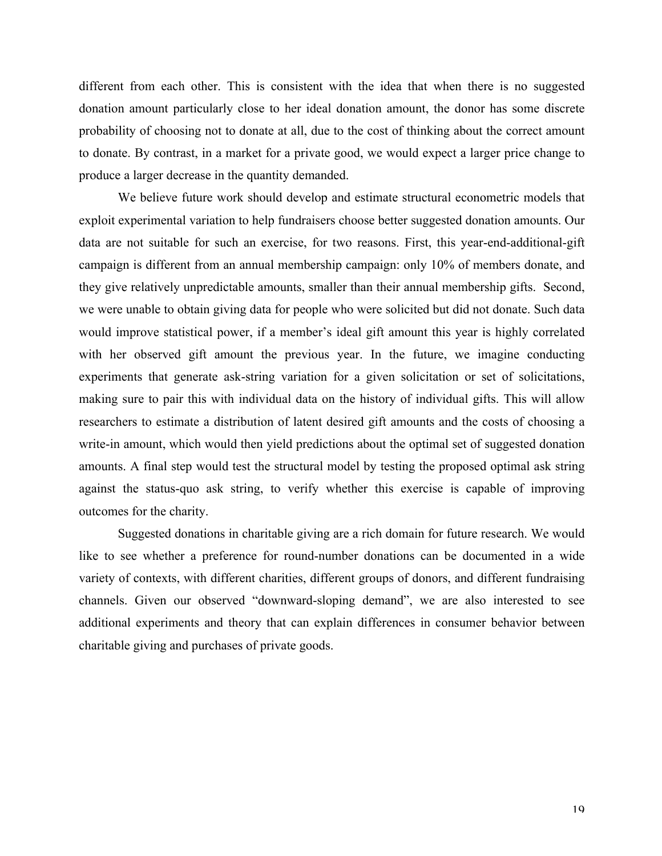different from each other. This is consistent with the idea that when there is no suggested donation amount particularly close to her ideal donation amount, the donor has some discrete probability of choosing not to donate at all, due to the cost of thinking about the correct amount to donate. By contrast, in a market for a private good, we would expect a larger price change to produce a larger decrease in the quantity demanded.

We believe future work should develop and estimate structural econometric models that exploit experimental variation to help fundraisers choose better suggested donation amounts. Our data are not suitable for such an exercise, for two reasons. First, this year-end-additional-gift campaign is different from an annual membership campaign: only 10% of members donate, and they give relatively unpredictable amounts, smaller than their annual membership gifts. Second, we were unable to obtain giving data for people who were solicited but did not donate. Such data would improve statistical power, if a member's ideal gift amount this year is highly correlated with her observed gift amount the previous year. In the future, we imagine conducting experiments that generate ask-string variation for a given solicitation or set of solicitations, making sure to pair this with individual data on the history of individual gifts. This will allow researchers to estimate a distribution of latent desired gift amounts and the costs of choosing a write-in amount, which would then yield predictions about the optimal set of suggested donation amounts. A final step would test the structural model by testing the proposed optimal ask string against the status-quo ask string, to verify whether this exercise is capable of improving outcomes for the charity.

Suggested donations in charitable giving are a rich domain for future research. We would like to see whether a preference for round-number donations can be documented in a wide variety of contexts, with different charities, different groups of donors, and different fundraising channels. Given our observed "downward-sloping demand", we are also interested to see additional experiments and theory that can explain differences in consumer behavior between charitable giving and purchases of private goods.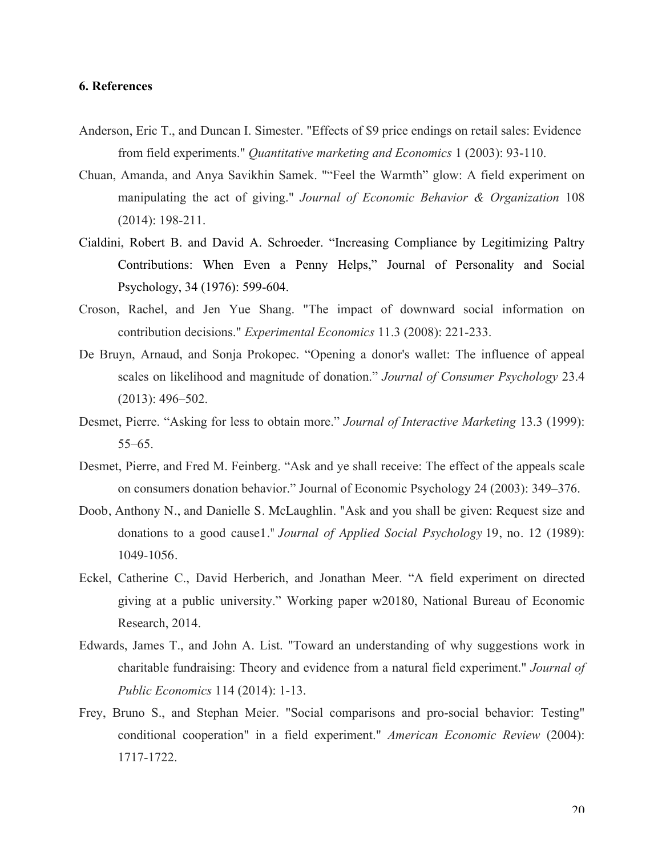#### **6. References**

- Anderson, Eric T., and Duncan I. Simester. "Effects of \$9 price endings on retail sales: Evidence from field experiments." *Quantitative marketing and Economics* 1 (2003): 93-110.
- Chuan, Amanda, and Anya Savikhin Samek. ""Feel the Warmth" glow: A field experiment on manipulating the act of giving." *Journal of Economic Behavior & Organization* 108 (2014): 198-211.
- Cialdini, Robert B. and David A. Schroeder. "Increasing Compliance by Legitimizing Paltry Contributions: When Even a Penny Helps," Journal of Personality and Social Psychology, 34 (1976): 599-604.
- Croson, Rachel, and Jen Yue Shang. "The impact of downward social information on contribution decisions." *Experimental Economics* 11.3 (2008): 221-233.
- De Bruyn, Arnaud, and Sonja Prokopec. "Opening a donor's wallet: The influence of appeal scales on likelihood and magnitude of donation." *Journal of Consumer Psychology* 23.4 (2013): 496–502.
- Desmet, Pierre. "Asking for less to obtain more." *Journal of Interactive Marketing* 13.3 (1999): 55–65.
- Desmet, Pierre, and Fred M. Feinberg. "Ask and ye shall receive: The effect of the appeals scale on consumers donation behavior." Journal of Economic Psychology 24 (2003): 349–376.
- Doob, Anthony N., and Danielle S. McLaughlin. "Ask and you shall be given: Request size and donations to a good cause1." *Journal of Applied Social Psychology* 19, no. 12 (1989): 1049-1056.
- Eckel, Catherine C., David Herberich, and Jonathan Meer. "A field experiment on directed giving at a public university." Working paper w20180, National Bureau of Economic Research, 2014.
- Edwards, James T., and John A. List. "Toward an understanding of why suggestions work in charitable fundraising: Theory and evidence from a natural field experiment." *Journal of Public Economics* 114 (2014): 1-13.
- Frey, Bruno S., and Stephan Meier. "Social comparisons and pro-social behavior: Testing" conditional cooperation" in a field experiment." *American Economic Review* (2004): 1717-1722.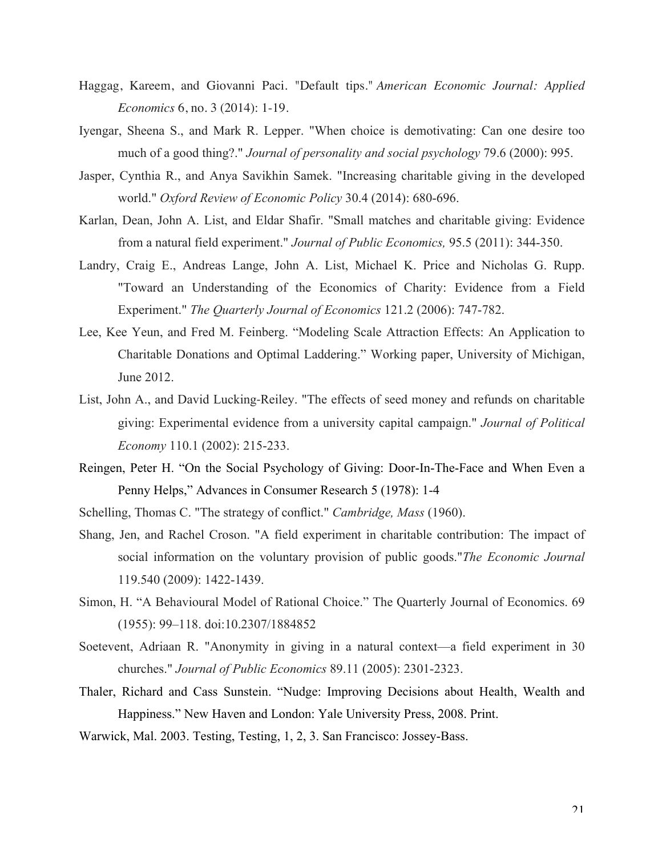- Haggag, Kareem, and Giovanni Paci. "Default tips." *American Economic Journal: Applied Economics* 6, no. 3 (2014): 1-19.
- Iyengar, Sheena S., and Mark R. Lepper. "When choice is demotivating: Can one desire too much of a good thing?." *Journal of personality and social psychology* 79.6 (2000): 995.
- Jasper, Cynthia R., and Anya Savikhin Samek. "Increasing charitable giving in the developed world." *Oxford Review of Economic Policy* 30.4 (2014): 680-696.
- Karlan, Dean, John A. List, and Eldar Shafir. "Small matches and charitable giving: Evidence from a natural field experiment." *Journal of Public Economics,* 95.5 (2011): 344-350.
- Landry, Craig E., Andreas Lange, John A. List, Michael K. Price and Nicholas G. Rupp. "Toward an Understanding of the Economics of Charity: Evidence from a Field Experiment." *The Quarterly Journal of Economics* 121.2 (2006): 747-782.
- Lee, Kee Yeun, and Fred M. Feinberg. "Modeling Scale Attraction Effects: An Application to Charitable Donations and Optimal Laddering." Working paper, University of Michigan, June 2012.
- List, John A., and David Lucking-Reiley. "The effects of seed money and refunds on charitable giving: Experimental evidence from a university capital campaign." *Journal of Political Economy* 110.1 (2002): 215-233.
- Reingen, Peter H. "On the Social Psychology of Giving: Door-In-The-Face and When Even a Penny Helps," Advances in Consumer Research 5 (1978): 1-4
- Schelling, Thomas C. "The strategy of conflict." *Cambridge, Mass* (1960).
- Shang, Jen, and Rachel Croson. "A field experiment in charitable contribution: The impact of social information on the voluntary provision of public goods."*The Economic Journal* 119.540 (2009): 1422-1439.
- Simon, H. "A Behavioural Model of Rational Choice." The Quarterly Journal of Economics. 69 (1955): 99–118. doi:10.2307/1884852
- Soetevent, Adriaan R. "Anonymity in giving in a natural context—a field experiment in 30 churches." *Journal of Public Economics* 89.11 (2005): 2301-2323.
- Thaler, Richard and Cass Sunstein. "Nudge: Improving Decisions about Health, Wealth and Happiness." New Haven and London: Yale University Press, 2008. Print.
- Warwick, Mal. 2003. Testing, Testing, 1, 2, 3. San Francisco: Jossey-Bass.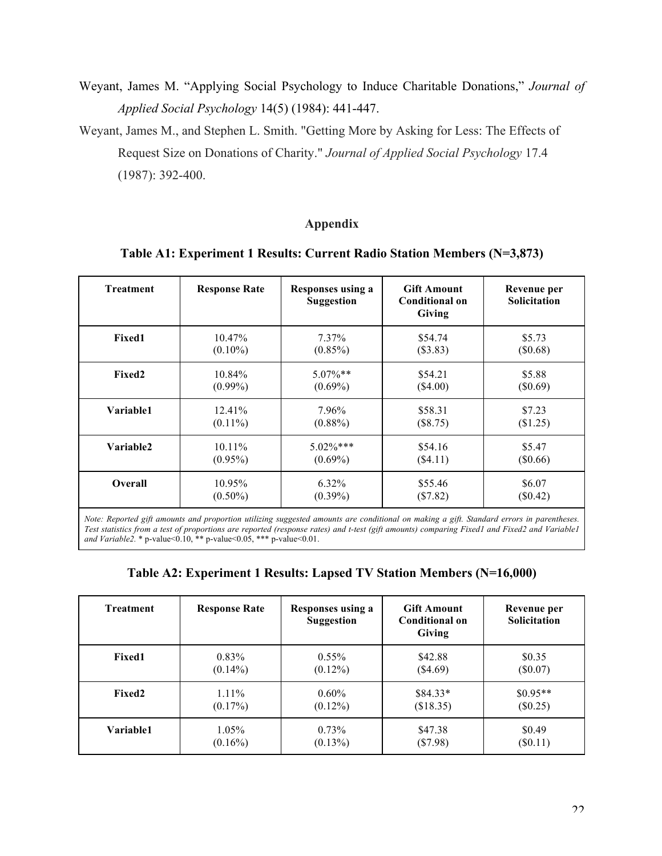- Weyant, James M. "Applying Social Psychology to Induce Charitable Donations," *Journal of Applied Social Psychology* 14(5) (1984): 441-447.
- Weyant, James M., and Stephen L. Smith. "Getting More by Asking for Less: The Effects of Request Size on Donations of Charity." *Journal of Applied Social Psychology* 17.4 (1987): 392-400.

# **Appendix**

### **Table A1: Experiment 1 Results: Current Radio Station Members (N=3,873)**

| <b>Treatment</b> | <b>Response Rate</b> | <b>Responses using a</b><br><b>Suggestion</b> | <b>Gift Amount</b><br><b>Conditional on</b><br>Giving | Revenue per<br>Solicitation |
|------------------|----------------------|-----------------------------------------------|-------------------------------------------------------|-----------------------------|
| <b>Fixed1</b>    | 10.47%               | $7.37\%$                                      | \$54.74                                               | \$5.73                      |
|                  | $(0.10\%)$           | $(0.85\%)$                                    | (\$3.83)                                              | (\$0.68)                    |
| <b>Fixed2</b>    | 10.84%               | $5.07\%**$                                    | \$54.21                                               | \$5.88                      |
|                  | $(0.99\%)$           | $(0.69\%)$                                    | $(\$4.00)$                                            | (\$0.69)                    |
| Variable1        | 12.41%               | 7.96%                                         | \$58.31                                               | \$7.23                      |
|                  | $(0.11\%)$           | $(0.88\%)$                                    | (\$8.75)                                              | (\$1.25)                    |
| Variable2        | $10.11\%$            | $5.02\%$ ***                                  | \$54.16                                               | \$5.47                      |
|                  | $(0.95\%)$           | $(0.69\%)$                                    | (\$4.11)                                              | (\$0.66)                    |
| <b>Overall</b>   | 10.95%               | $6.32\%$                                      | \$55.46                                               | \$6.07                      |
|                  | $(0.50\%)$           | $(0.39\%)$                                    | (\$7.82)                                              | $(\$0.42)$                  |

*Note: Reported gift amounts and proportion utilizing suggested amounts are conditional on making a gift. Standard errors in parentheses. Test statistics from a test of proportions are reported (response rates) and t-test (gift amounts) comparing Fixed1 and Fixed2 and Variable1 and Variable2.* \* p-value<0.10, \*\* p-value<0.05, \*\*\* p-value<0.01.

| Table A2: Experiment 1 Results: Lapsed TV Station Members (N=16,000) |  |  |  |
|----------------------------------------------------------------------|--|--|--|
|                                                                      |  |  |  |

| <b>Treatment</b>   | <b>Response Rate</b> | <b>Responses using a</b><br><b>Suggestion</b> | <b>Gift Amount</b><br>Conditional on<br>Giving | Revenue per<br><b>Solicitation</b> |
|--------------------|----------------------|-----------------------------------------------|------------------------------------------------|------------------------------------|
| <b>Fixed1</b>      | $0.83\%$             | $0.55\%$                                      | \$42.88                                        | \$0.35                             |
|                    | $(0.14\%)$           | $(0.12\%)$                                    | (\$4.69)                                       | $(\$0.07)$                         |
| Fixed <sub>2</sub> | $1.11\%$             | $0.60\%$                                      | $$84.33*$                                      | $$0.95**$$                         |
|                    | $(0.17\%)$           | $(0.12\%)$                                    | (\$18.35)                                      | $(\$0.25)$                         |
| Variable1          | $1.05\%$             | $0.73\%$                                      | \$47.38                                        | \$0.49                             |
|                    | $(0.16\%)$           | $(0.13\%)$                                    | $(\$7.98)$                                     | $(\$0.11)$                         |